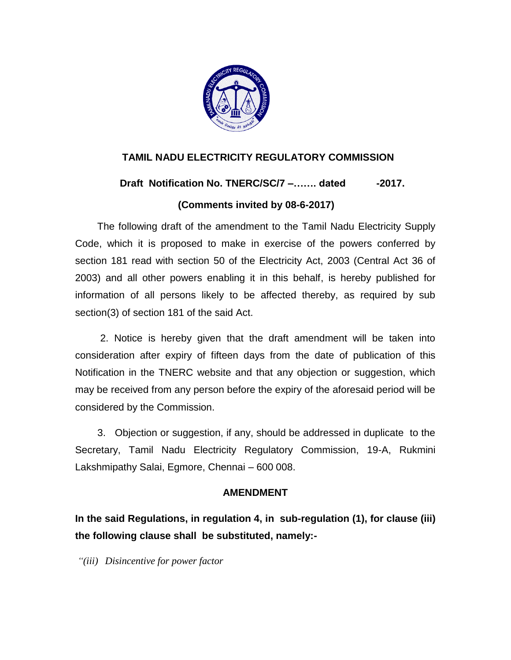

# **TAMIL NADU ELECTRICITY REGULATORY COMMISSION**

# **Draft** Notification No. TNERC/SC/7 –....... dated -2017.

# **(Comments invited by 08-6-2017)**

 The following draft of the amendment to the Tamil Nadu Electricity Supply Code, which it is proposed to make in exercise of the powers conferred by section 181 read with section 50 of the Electricity Act, 2003 (Central Act 36 of 2003) and all other powers enabling it in this behalf, is hereby published for information of all persons likely to be affected thereby, as required by sub section(3) of section 181 of the said Act.

 2. Notice is hereby given that the draft amendment will be taken into consideration after expiry of fifteen days from the date of publication of this Notification in the TNERC website and that any objection or suggestion, which may be received from any person before the expiry of the aforesaid period will be considered by the Commission.

 3. Objection or suggestion, if any, should be addressed in duplicate to the Secretary, Tamil Nadu Electricity Regulatory Commission, 19-A, Rukmini Lakshmipathy Salai, Egmore, Chennai – 600 008.

### **AMENDMENT**

**In the said Regulations, in regulation 4, in sub-regulation (1), for clause (iii) the following clause shall be substituted, namely:-**

*"(iii) Disincentive for power factor*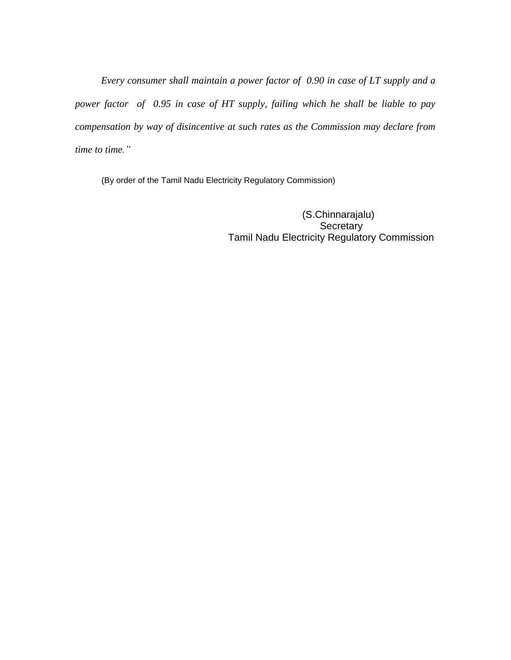*Every consumer shall maintain a power factor of 0.90 in case of LT supply and a power factor of 0.95 in case of HT supply, failing which he shall be liable to pay compensation by way of disincentive at such rates as the Commission may declare from time to time."*

(By order of the Tamil Nadu Electricity Regulatory Commission)

 (S.Chinnarajalu) **Secretary** Tamil Nadu Electricity Regulatory Commission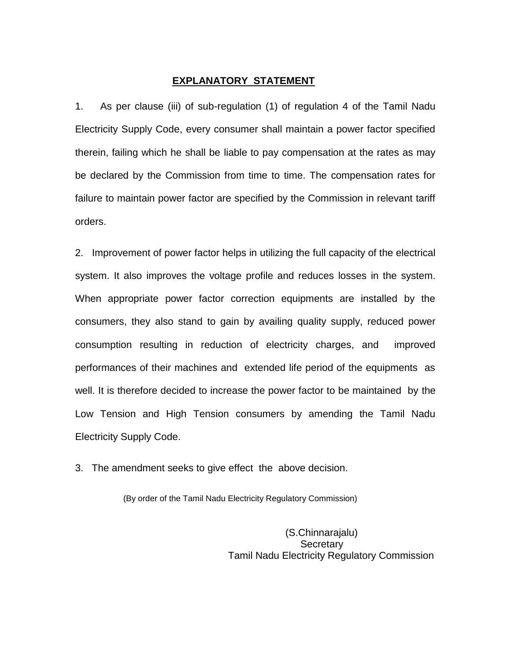#### **EXPLANATORY STATEMENT**

1. As per clause (iii) of sub-regulation (1) of regulation 4 of the Tamil Nadu Electricity Supply Code, every consumer shall maintain a power factor specified therein, failing which he shall be liable to pay compensation at the rates as may be declared by the Commission from time to time. The compensation rates for failure to maintain power factor are specified by the Commission in relevant tariff orders.

2. Improvement of power factor helps in utilizing the full capacity of the electrical system. It also improves the voltage profile and reduces losses in the system. When appropriate power factor correction equipments are installed by the consumers, they also stand to gain by availing quality supply, reduced power consumption resulting in reduction of electricity charges, and improved performances of their machines and extended life period of the equipments as well. It is therefore decided to increase the power factor to be maintained by the Low Tension and High Tension consumers by amending the Tamil Nadu Electricity Supply Code.

3. The amendment seeks to give effect the above decision.

(By order of the Tamil Nadu Electricity Regulatory Commission)

(S.Chinnarajalu) Secretary Tamil Nadu Electricity Regulatory Commission